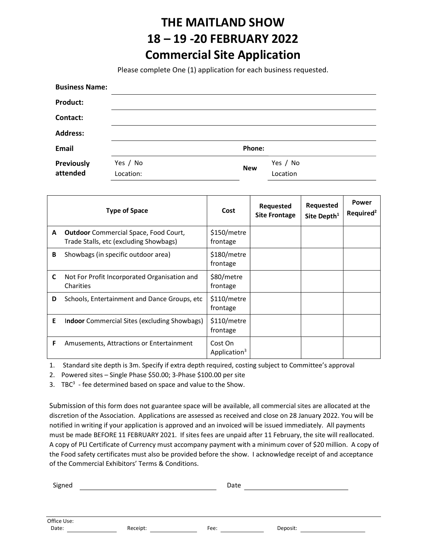## THE MAITLAND SHOW 18 – 19 -20 FEBRUARY 2022 Commercial Site Application

Please complete One (1) application for each business requested.

| <b>Business Name:</b>  |                       |            |                      |
|------------------------|-----------------------|------------|----------------------|
| <b>Product:</b>        |                       |            |                      |
| Contact:               |                       |            |                      |
| <b>Address:</b>        |                       |            |                      |
| <b>Email</b>           |                       | Phone:     |                      |
| Previously<br>attended | Yes / No<br>Location: | <b>New</b> | Yes / No<br>Location |

|   | <b>Type of Space</b>                                                                   | Cost                                | <b>Requested</b><br><b>Site Frontage</b> | <b>Requested</b><br>Site Depth <sup>1</sup> | Power<br>Required <sup>2</sup> |
|---|----------------------------------------------------------------------------------------|-------------------------------------|------------------------------------------|---------------------------------------------|--------------------------------|
| A | <b>Outdoor</b> Commercial Space, Food Court,<br>Trade Stalls, etc (excluding Showbags) | \$150/metre<br>frontage             |                                          |                                             |                                |
| B | Showbags (in specific outdoor area)                                                    | \$180/metre<br>frontage             |                                          |                                             |                                |
| C | Not For Profit Incorporated Organisation and<br>Charities                              | \$80/metre<br>frontage              |                                          |                                             |                                |
| D | Schools, Entertainment and Dance Groups, etc.                                          | \$110/metre<br>frontage             |                                          |                                             |                                |
| Е | <b>Indoor</b> Commercial Sites (excluding Showbags)                                    | \$110/metre<br>frontage             |                                          |                                             |                                |
| F | Amusements, Attractions or Entertainment                                               | Cost On<br>Application <sup>3</sup> |                                          |                                             |                                |

1. Standard site depth is 3m. Specify if extra depth required, costing subject to Committee's approval

2. Powered sites – Single Phase \$50.00; 3-Phase \$100.00 per site

3. TBC $3$  - fee determined based on space and value to the Show.

Submission of this form does not guarantee space will be available, all commercial sites are allocated at the discretion of the Association. Applications are assessed as received and close on 28 January 2022. You will be notified in writing if your application is approved and an invoiced will be issued immediately. All payments must be made BEFORE 11 FEBRUARY 2021. If sites fees are unpaid after 11 February, the site will reallocated. A copy of PLI Certificate of Currency must accompany payment with a minimum cover of \$20 million. A copy of the Food safety certificates must also be provided before the show. I acknowledge receipt of and acceptance of the Commercial Exhibitors' Terms & Conditions.

| Signed      |          | Date             |  |
|-------------|----------|------------------|--|
|             |          |                  |  |
|             |          |                  |  |
| Office Use: |          |                  |  |
| Date:       | Receipt: | Deposit:<br>Fee: |  |
|             |          |                  |  |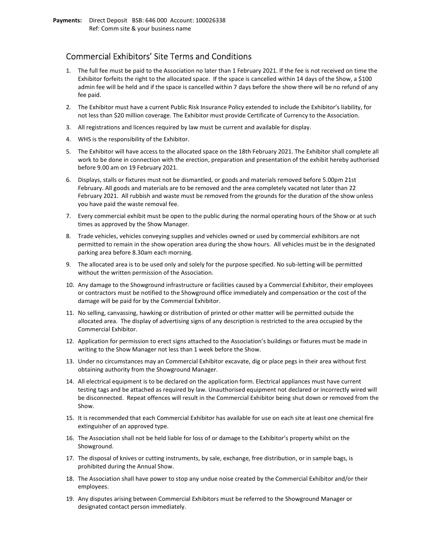## Commercial Exhibitors' Site Terms and Conditions

- 1. The full fee must be paid to the Association no later than 1 February 2021. If the fee is not received on time the Exhibitor forfeits the right to the allocated space. If the space is cancelled within 14 days of the Show, a \$100 admin fee will be held and if the space is cancelled within 7 days before the show there will be no refund of any fee paid.
- 2. The Exhibitor must have a current Public Risk Insurance Policy extended to include the Exhibitor's liability, for not less than \$20 million coverage. The Exhibitor must provide Certificate of Currency to the Association.
- 3. All registrations and licences required by law must be current and available for display.
- 4. WHS is the responsibility of the Exhibitor.
- 5. The Exhibitor will have access to the allocated space on the 18th February 2021. The Exhibitor shall complete all work to be done in connection with the erection, preparation and presentation of the exhibit hereby authorised before 9.00 am on 19 February 2021.
- 6. Displays, stalls or fixtures must not be dismantled, or goods and materials removed before 5.00pm 21st February. All goods and materials are to be removed and the area completely vacated not later than 22 February 2021. All rubbish and waste must be removed from the grounds for the duration of the show unless you have paid the waste removal fee.
- 7. Every commercial exhibit must be open to the public during the normal operating hours of the Show or at such times as approved by the Show Manager.
- 8. Trade vehicles, vehicles conveying supplies and vehicles owned or used by commercial exhibitors are not permitted to remain in the show operation area during the show hours. All vehicles must be in the designated parking area before 8.30am each morning.
- 9. The allocated area is to be used only and solely for the purpose specified. No sub-letting will be permitted without the written permission of the Association.
- 10. Any damage to the Showground infrastructure or facilities caused by a Commercial Exhibitor, their employees or contractors must be notified to the Showground office immediately and compensation or the cost of the damage will be paid for by the Commercial Exhibitor.
- 11. No selling, canvassing, hawking or distribution of printed or other matter will be permitted outside the allocated area. The display of advertising signs of any description is restricted to the area occupied by the Commercial Exhibitor.
- 12. Application for permission to erect signs attached to the Association's buildings or fixtures must be made in writing to the Show Manager not less than 1 week before the Show.
- 13. Under no circumstances may an Commercial Exhibitor excavate, dig or place pegs in their area without first obtaining authority from the Showground Manager.
- 14. All electrical equipment is to be declared on the application form. Electrical appliances must have current testing tags and be attached as required by law. Unauthorised equipment not declared or incorrectly wired will be disconnected. Repeat offences will result in the Commercial Exhibitor being shut down or removed from the Show.
- 15. It is recommended that each Commercial Exhibitor has available for use on each site at least one chemical fire extinguisher of an approved type.
- 16. The Association shall not be held liable for loss of or damage to the Exhibitor's property whilst on the Showground.
- 17. The disposal of knives or cutting instruments, by sale, exchange, free distribution, or in sample bags, is prohibited during the Annual Show.
- 18. The Association shall have power to stop any undue noise created by the Commercial Exhibitor and/or their employees.
- 19. Any disputes arising between Commercial Exhibitors must be referred to the Showground Manager or designated contact person immediately.